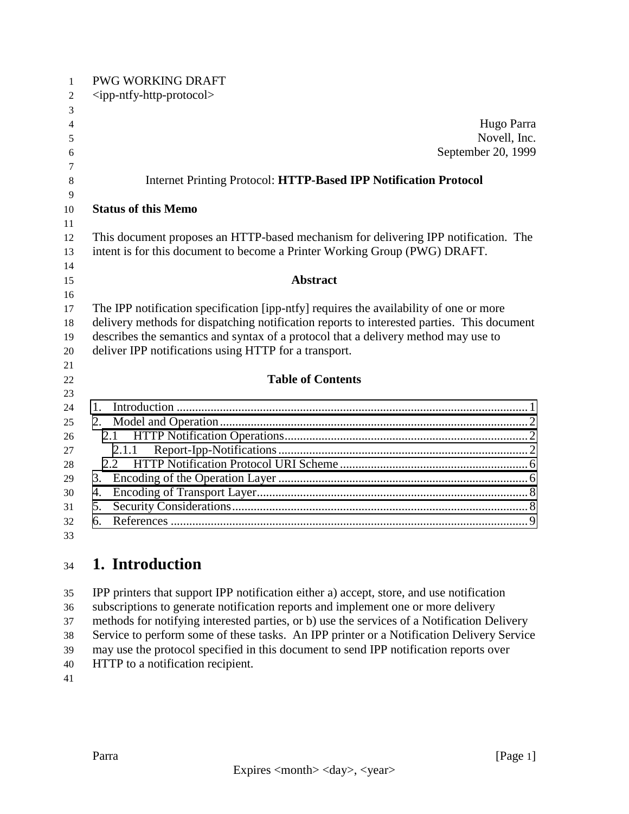| $\mathbf{1}$             | <b>PWG WORKING DRAFT</b>                                                                   |
|--------------------------|--------------------------------------------------------------------------------------------|
| $\overline{c}$           | $\langle$ ipp-ntfy-http-protocol $>$                                                       |
| 3                        |                                                                                            |
| $\overline{\mathcal{A}}$ | Hugo Parra                                                                                 |
| 5                        | Novell, Inc.                                                                               |
| 6                        | September 20, 1999                                                                         |
| 7                        |                                                                                            |
| 8                        | Internet Printing Protocol: HTTP-Based IPP Notification Protocol                           |
| 9                        |                                                                                            |
| 10                       | <b>Status of this Memo</b>                                                                 |
| 11                       |                                                                                            |
| 12                       | This document proposes an HTTP-based mechanism for delivering IPP notification. The        |
| 13                       | intent is for this document to become a Printer Working Group (PWG) DRAFT.                 |
| 14                       |                                                                                            |
| 15                       | <b>Abstract</b>                                                                            |
| 16                       |                                                                                            |
| 17                       | The IPP notification specification [ipp-ntfy] requires the availability of one or more     |
| 18                       | delivery methods for dispatching notification reports to interested parties. This document |
| 19                       | describes the semantics and syntax of a protocol that a delivery method may use to         |
| 20                       | deliver IPP notifications using HTTP for a transport.                                      |
| 21                       |                                                                                            |
| 22                       | <b>Table of Contents</b>                                                                   |
| 23                       |                                                                                            |
| 24                       | 1.                                                                                         |
| 25                       | 2.                                                                                         |
| 26                       | 2.1                                                                                        |
| 27                       | 2.1.1                                                                                      |
| 28                       | 2.2                                                                                        |
| 29                       | 3.                                                                                         |
| 30                       | 4.                                                                                         |
| 31                       | 5.                                                                                         |
| 32                       | 6.                                                                                         |
| 33                       |                                                                                            |

### **1. Introduction**

 IPP printers that support IPP notification either a) accept, store, and use notification subscriptions to generate notification reports and implement one or more delivery methods for notifying interested parties, or b) use the services of a Notification Delivery Service to perform some of these tasks. An IPP printer or a Notification Delivery Service may use the protocol specified in this document to send IPP notification reports over HTTP to a notification recipient.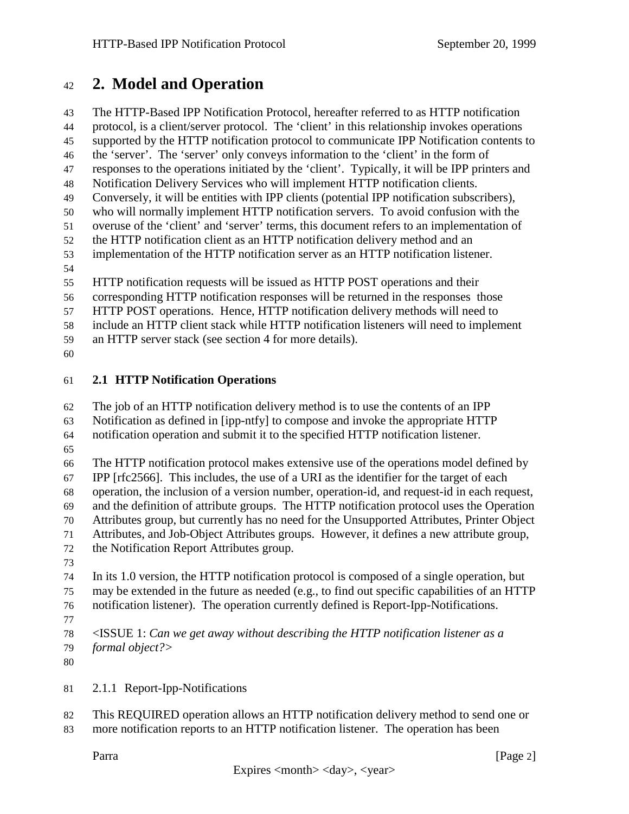#### <span id="page-1-0"></span>**2. Model and Operation**

 The HTTP-Based IPP Notification Protocol, hereafter referred to as HTTP notification protocol, is a client/server protocol. The 'client' in this relationship invokes operations supported by the HTTP notification protocol to communicate IPP Notification contents to the 'server'. The 'server' only conveys information to the 'client' in the form of responses to the operations initiated by the 'client'. Typically, it will be IPP printers and Notification Delivery Services who will implement HTTP notification clients. Conversely, it will be entities with IPP clients (potential IPP notification subscribers), who will normally implement HTTP notification servers. To avoid confusion with the overuse of the 'client' and 'server' terms, this document refers to an implementation of the HTTP notification client as an HTTP notification delivery method and an implementation of the HTTP notification server as an HTTP notification listener. HTTP notification requests will be issued as HTTP POST operations and their corresponding HTTP notification responses will be returned in the responses those HTTP POST operations. Hence, HTTP notification delivery methods will need to include an HTTP client stack while HTTP notification listeners will need to implement an HTTP server stack (see section 4 for more details). **2.1 HTTP Notification Operations**

The job of an HTTP notification delivery method is to use the contents of an IPP

Notification as defined in [ipp-ntfy] to compose and invoke the appropriate HTTP

notification operation and submit it to the specified HTTP notification listener.

 The HTTP notification protocol makes extensive use of the operations model defined by IPP [rfc2566]. This includes, the use of a URI as the identifier for the target of each operation, the inclusion of a version number, operation-id, and request-id in each request, and the definition of attribute groups. The HTTP notification protocol uses the Operation Attributes group, but currently has no need for the Unsupported Attributes, Printer Object Attributes, and Job-Object Attributes groups. However, it defines a new attribute group, the Notification Report Attributes group.

 In its 1.0 version, the HTTP notification protocol is composed of a single operation, but may be extended in the future as needed (e.g., to find out specific capabilities of an HTTP notification listener). The operation currently defined is Report-Ipp-Notifications.

 <ISSUE 1: *Can we get away without describing the HTTP notification listener as a formal object?>*

2.1.1 Report-Ipp-Notifications

 This REQUIRED operation allows an HTTP notification delivery method to send one or more notification reports to an HTTP notification listener. The operation has been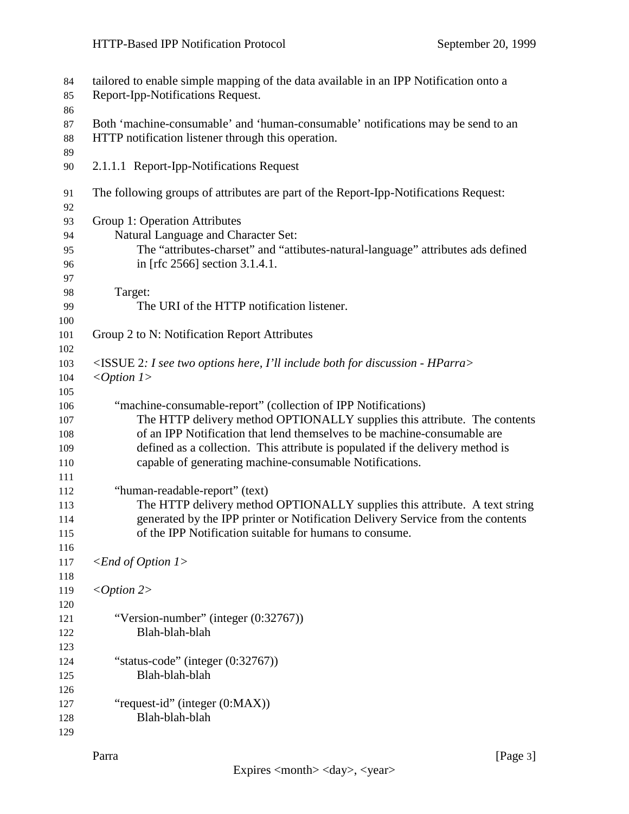| 84<br>85   | tailored to enable simple mapping of the data available in an IPP Notification onto a<br>Report-Ipp-Notifications Request.                |
|------------|-------------------------------------------------------------------------------------------------------------------------------------------|
| 86<br>87   | Both 'machine-consumable' and 'human-consumable' notifications may be send to an                                                          |
| 88<br>89   | HTTP notification listener through this operation.                                                                                        |
| 90         | 2.1.1.1 Report-Ipp-Notifications Request                                                                                                  |
| 91<br>92   | The following groups of attributes are part of the Report-Ipp-Notifications Request:                                                      |
| 93         | Group 1: Operation Attributes                                                                                                             |
| 94         | Natural Language and Character Set:                                                                                                       |
| 95         | The "attributes-charset" and "attibutes-natural-language" attributes ads defined                                                          |
| 96         | in [rfc 2566] section 3.1.4.1.                                                                                                            |
| 97         |                                                                                                                                           |
| 98         | Target:                                                                                                                                   |
| 99<br>100  | The URI of the HTTP notification listener.                                                                                                |
| 101        | Group 2 to N: Notification Report Attributes                                                                                              |
| 102        |                                                                                                                                           |
| 103        | <issue -="" 2:="" both="" discussion="" for="" here,="" hparra="" i="" i'll="" include="" options="" see="" two=""></issue>               |
| 104        | $<$ Option 1>                                                                                                                             |
| 105        |                                                                                                                                           |
| 106        | "machine-consumable-report" (collection of IPP Notifications)                                                                             |
| 107        | The HTTP delivery method OPTIONALLY supplies this attribute. The contents                                                                 |
| 108        | of an IPP Notification that lend themselves to be machine-consumable are                                                                  |
| 109<br>110 | defined as a collection. This attribute is populated if the delivery method is<br>capable of generating machine-consumable Notifications. |
| 111        |                                                                                                                                           |
| 112        | "human-readable-report" (text)                                                                                                            |
| 113        | The HTTP delivery method OPTIONALLY supplies this attribute. A text string                                                                |
| 114        | generated by the IPP printer or Notification Delivery Service from the contents                                                           |
| 115        | of the IPP Notification suitable for humans to consume.                                                                                   |
| 116        |                                                                                                                                           |
| 117        | $\leq$ End of Option 1>                                                                                                                   |
| 118        |                                                                                                                                           |
| 119        | $<$ Option 2>                                                                                                                             |
| 120        |                                                                                                                                           |
| 121        | "Version-number" (integer $(0.32767)$ )                                                                                                   |
| 122        | Blah-blah-blah                                                                                                                            |
| 123        |                                                                                                                                           |
| 124        | "status-code" (integer $(0.32767)$ )                                                                                                      |
| 125        | Blah-blah-blah                                                                                                                            |
| 126        |                                                                                                                                           |
| 127        | "request-id" (integer (0:MAX))                                                                                                            |
| 128        | Blah-blah-blah                                                                                                                            |
| 129        |                                                                                                                                           |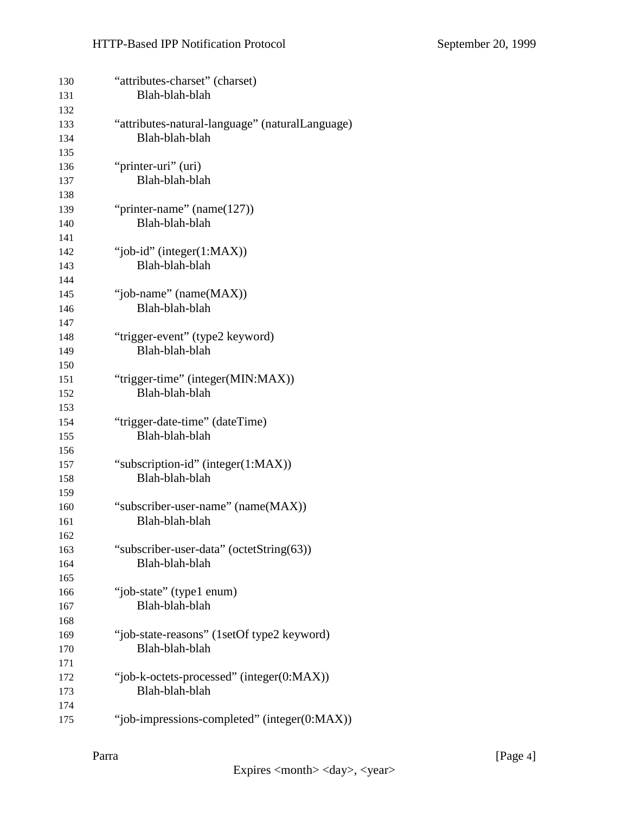| 130<br>131        | "attributes-charset" (charset)<br>Blah-blah-blah                  |
|-------------------|-------------------------------------------------------------------|
| 132<br>133<br>134 | "attributes-natural-language" (naturalLanguage)<br>Blah-blah-blah |
| 135               |                                                                   |
| 136               | "printer-uri" (uri)                                               |
| 137               | Blah-blah-blah                                                    |
| 138               |                                                                   |
| 139               | "printer-name" $(name(127))$                                      |
| 140               | Blah-blah-blah                                                    |
| 141               |                                                                   |
| 142               | "job-id" (integer $(1:MAX)$ )                                     |
| 143               | Blah-blah-blah                                                    |
| 144               |                                                                   |
| 145               | "job-name" (name(MAX))                                            |
| 146               | Blah-blah-blah                                                    |
| 147               |                                                                   |
| 148               | "trigger-event" (type2 keyword)                                   |
| 149               | Blah-blah-blah                                                    |
| 150               |                                                                   |
| 151               | "trigger-time" (integer(MIN:MAX))                                 |
| 152               | Blah-blah-blah                                                    |
| 153               |                                                                   |
| 154               | "trigger-date-time" (dateTime)                                    |
| 155               | Blah-blah-blah                                                    |
| 156               |                                                                   |
| 157               | "subscription-id" (integer(1:MAX))                                |
| 158               | Blah-blah-blah                                                    |
| 159               |                                                                   |
| 160               | "subscriber-user-name" (name(MAX))                                |
| 161               | Blah-blah-blah                                                    |
| 162               |                                                                   |
| 163               | "subscriber-user-data" (octetString(63))                          |
| 164               | Blah-blah-blah                                                    |
| 165               |                                                                   |
| 166               | "job-state" (type1 enum)                                          |
| 167               | Blah-blah-blah                                                    |
| 168               |                                                                   |
| 169               | "job-state-reasons" (1setOf type2 keyword)                        |
| 170               | Blah-blah-blah                                                    |
| 171               |                                                                   |
| 172               | "job-k-octets-processed" (integer(0:MAX))                         |
| 173               | Blah-blah-blah                                                    |
| 174               |                                                                   |
| 175               | "job-impressions-completed" (integer(0:MAX))                      |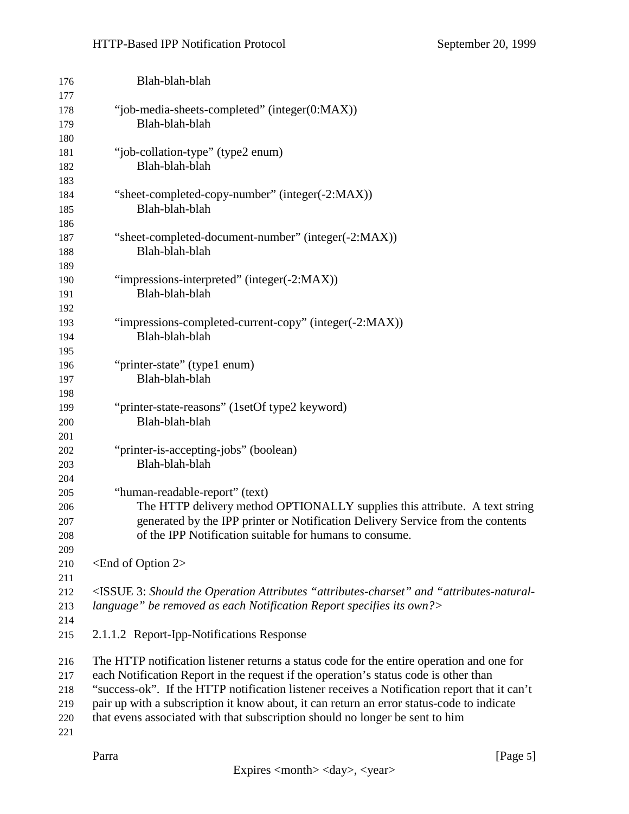#### HTTP-Based IPP Notification Protocol September 20, 1999

| 176 | Blah-blah-blah                                                                                                                  |
|-----|---------------------------------------------------------------------------------------------------------------------------------|
| 177 |                                                                                                                                 |
| 178 | "job-media-sheets-completed" (integer(0:MAX))                                                                                   |
| 179 | Blah-blah-blah                                                                                                                  |
| 180 |                                                                                                                                 |
| 181 | "job-collation-type" (type2 enum)                                                                                               |
| 182 | Blah-blah-blah                                                                                                                  |
| 183 |                                                                                                                                 |
| 184 | "sheet-completed-copy-number" (integer(-2:MAX))                                                                                 |
| 185 | Blah-blah-blah                                                                                                                  |
| 186 |                                                                                                                                 |
| 187 | "sheet-completed-document-number" (integer(-2:MAX))                                                                             |
| 188 | Blah-blah-blah                                                                                                                  |
| 189 |                                                                                                                                 |
| 190 | "impressions-interpreted" (integer(-2:MAX))                                                                                     |
| 191 | Blah-blah-blah                                                                                                                  |
| 192 |                                                                                                                                 |
| 193 | "impressions-completed-current-copy" (integer(-2:MAX))                                                                          |
| 194 | Blah-blah-blah                                                                                                                  |
| 195 |                                                                                                                                 |
| 196 | "printer-state" (type1 enum)                                                                                                    |
| 197 | Blah-blah-blah                                                                                                                  |
| 198 |                                                                                                                                 |
| 199 | "printer-state-reasons" (1setOf type2 keyword)                                                                                  |
| 200 | Blah-blah-blah                                                                                                                  |
| 201 |                                                                                                                                 |
| 202 | "printer-is-accepting-jobs" (boolean)                                                                                           |
| 203 | Blah-blah-blah                                                                                                                  |
| 204 |                                                                                                                                 |
| 205 | "human-readable-report" (text)                                                                                                  |
| 206 | The HTTP delivery method OPTIONALLY supplies this attribute. A text string                                                      |
| 207 | generated by the IPP printer or Notification Delivery Service from the contents                                                 |
| 208 | of the IPP Notification suitable for humans to consume.                                                                         |
| 209 |                                                                                                                                 |
| 210 | $\epsilon$ End of Option 2>                                                                                                     |
| 211 |                                                                                                                                 |
| 212 | <issue "attributes-charset"="" "attributes-natural-<="" 3:="" and="" attributes="" operation="" should="" td="" the=""></issue> |
| 213 | language" be removed as each Notification Report specifies its own?>                                                            |
| 214 |                                                                                                                                 |
| 215 | 2.1.1.2 Report-Ipp-Notifications Response                                                                                       |
| 216 | The HTTP notification listener returns a status code for the entire operation and one for                                       |
| 217 | each Notification Report in the request if the operation's status code is other than                                            |
| 218 | "success-ok". If the HTTP notification listener receives a Notification report that it can't                                    |
| 219 | pair up with a subscription it know about, it can return an error status-code to indicate                                       |
| 220 | that evens associated with that subscription should no longer be sent to him                                                    |
| 221 |                                                                                                                                 |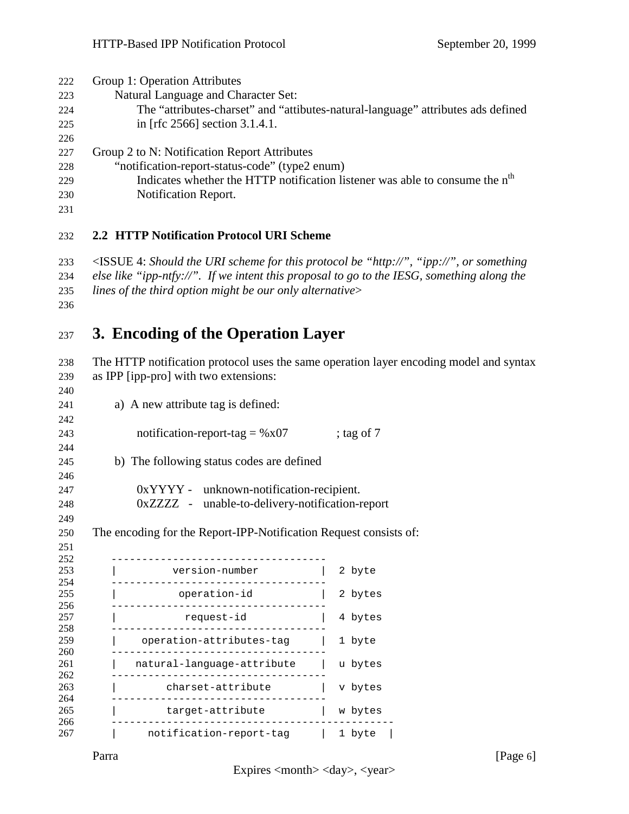<span id="page-5-0"></span>

| 222 | Group 1: Operation Attributes                                                            |
|-----|------------------------------------------------------------------------------------------|
| 223 | Natural Language and Character Set:                                                      |
| 224 | The "attributes-charset" and "attibutes-natural-language" attributes ads defined         |
| 225 | in [rfc 2566] section 3.1.4.1.                                                           |
| 226 |                                                                                          |
| 227 | Group 2 to N: Notification Report Attributes                                             |
| 228 | "notification-report-status-code" (type2 enum)                                           |
| 229 | Indicates whether the HTTP notification listener was able to consume the n <sup>th</sup> |
| 230 | <b>Notification Report.</b>                                                              |
|     |                                                                                          |
| 231 |                                                                                          |

#### **2.2 HTTP Notification Protocol URI Scheme**

 <ISSUE 4: *Should the URI scheme for this protocol be "http://", "ipp://", or something else like "ipp-ntfy://". If we intent this proposal to go to the IESG, something along the lines of the third option might be our only alternative*>

### **3. Encoding of the Operation Layer**

 The HTTP notification protocol uses the same operation layer encoding model and syntax as IPP [ipp-pro] with two extensions:

| 241        | a) A new attribute tag is defined:                                |              |
|------------|-------------------------------------------------------------------|--------------|
| 242        |                                                                   |              |
| 243        | notification-report-tag = $\%x07$                                 | ; tag of $7$ |
| 244        |                                                                   |              |
| 245        | b) The following status codes are defined                         |              |
| 246        |                                                                   |              |
| 247        | $0xYYYY$ - unknown-notification-recipient.                        |              |
| 248        | 0xZZZZ - unable-to-delivery-notification-report                   |              |
| 249        |                                                                   |              |
| 250        | The encoding for the Report-IPP-Notification Request consists of: |              |
| 251        |                                                                   |              |
| 252        |                                                                   |              |
| 253        | version-number<br>--------------------------------                | 2 byte       |
| 254<br>255 | operation-id                                                      | 2 bytes      |
| 256        |                                                                   |              |
| 257        | request-id                                                        | 4 bytes      |
| 258        |                                                                   |              |
| 259<br>260 | operation-attributes-tag                                          | 1 byte       |
| 261        | natural-language-attribute                                        | u bytes      |
| 262        |                                                                   |              |
| 263        | charset-attribute                                                 | v bytes      |
| 264        |                                                                   |              |
| 265<br>266 | target-attribute                                                  | w bytes      |
| 267        | notification-report-tag   1 byte                                  |              |

Parra [Page 6]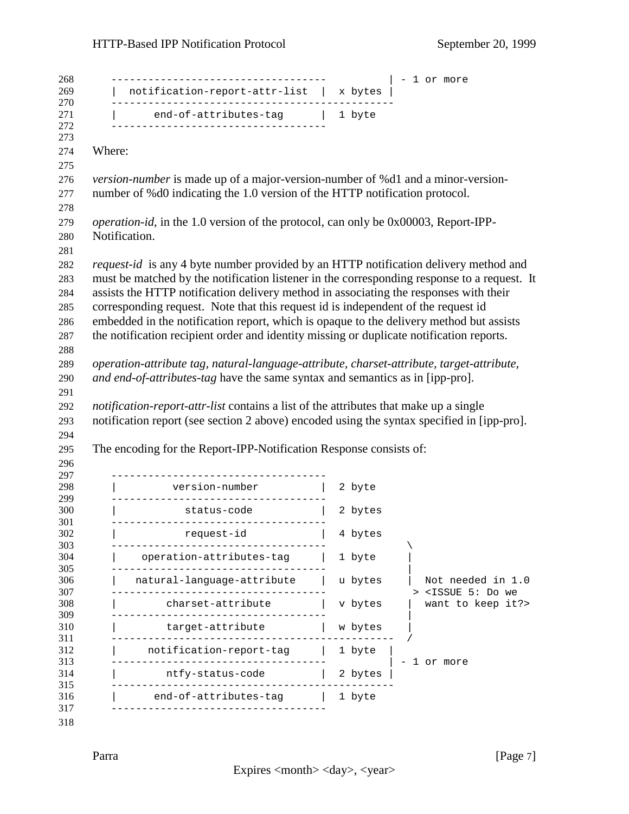|               | notification-report-attr-list   x bytes                                                     |         |                                            |
|---------------|---------------------------------------------------------------------------------------------|---------|--------------------------------------------|
|               |                                                                                             |         |                                            |
|               | end-of-attributes-tag   1 byte                                                              |         |                                            |
| Where:        |                                                                                             |         |                                            |
|               |                                                                                             |         |                                            |
|               | <i>version-number</i> is made up of a major-version-number of %d1 and a minor-version-      |         |                                            |
|               | number of %d0 indicating the 1.0 version of the HTTP notification protocol.                 |         |                                            |
|               |                                                                                             |         |                                            |
|               | <i>operation-id</i> , in the 1.0 version of the protocol, can only be 0x00003, Report-IPP-  |         |                                            |
| Notification. |                                                                                             |         |                                            |
|               |                                                                                             |         |                                            |
|               | <i>request-id</i> is any 4 byte number provided by an HTTP notification delivery method and |         |                                            |
|               | must be matched by the notification listener in the corresponding response to a request. It |         |                                            |
|               | assists the HTTP notification delivery method in associating the responses with their       |         |                                            |
|               | corresponding request. Note that this request id is independent of the request id           |         |                                            |
|               | embedded in the notification report, which is opaque to the delivery method but assists     |         |                                            |
|               | the notification recipient order and identity missing or duplicate notification reports.    |         |                                            |
|               |                                                                                             |         |                                            |
|               | operation-attribute tag, natural-language-attribute, charset-attribute, target-attribute,   |         |                                            |
|               |                                                                                             |         |                                            |
|               | and end-of-attributes-tag have the same syntax and semantics as in [ipp-pro].               |         |                                            |
|               |                                                                                             |         |                                            |
|               |                                                                                             |         |                                            |
|               | notification-report-attr-list contains a list of the attributes that make up a single       |         |                                            |
|               | notification report (see section 2 above) encoded using the syntax specified in [ipp-pro].  |         |                                            |
|               | The encoding for the Report-IPP-Notification Response consists of:                          |         |                                            |
|               |                                                                                             |         |                                            |
|               | -----------------------------------                                                         |         |                                            |
|               |                                                                                             | 2 byte  |                                            |
|               | version-number  <br>---------------------------------                                       |         |                                            |
|               | status-code                                                                                 | 2 bytes |                                            |
|               | request-id   4 bytes                                                                        |         |                                            |
|               |                                                                                             |         |                                            |
|               | operation-attributes-tag                                                                    | 1 byte  |                                            |
|               |                                                                                             |         |                                            |
|               | natural-language-attribute                                                                  | u bytes |                                            |
|               |                                                                                             |         | > <issue 5:="" do="" td="" we<=""></issue> |
|               | charset-attribute                                                                           | v bytes |                                            |
|               | target-attribute                                                                            | w bytes |                                            |
|               |                                                                                             |         |                                            |
|               | notification-report-tag                                                                     | 1 byte  |                                            |
|               |                                                                                             |         | 1 or more                                  |
|               | ntfy-status-code                                                                            | 2 bytes |                                            |
|               |                                                                                             |         | Not needed in 1.0<br>want to keep it?>     |
|               | end-of-attributes-tag                                                                       | 1 byte  |                                            |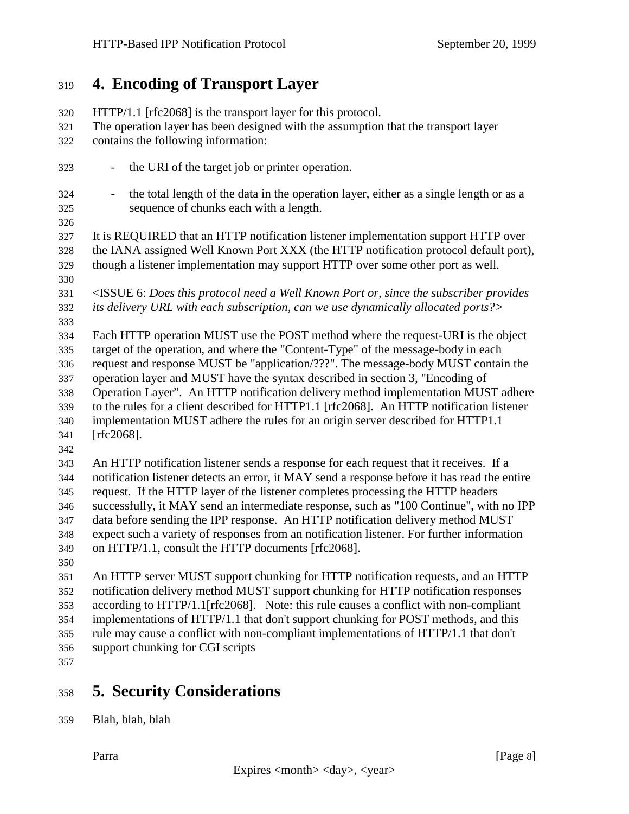### <span id="page-7-0"></span>**4. Encoding of Transport Layer**

- HTTP/1.1 [rfc2068] is the transport layer for this protocol. The operation layer has been designed with the assumption that the transport layer contains the following information: - the URI of the target job or printer operation. - the total length of the data in the operation layer, either as a single length or as a sequence of chunks each with a length. It is REQUIRED that an HTTP notification listener implementation support HTTP over the IANA assigned Well Known Port XXX (the HTTP notification protocol default port), though a listener implementation may support HTTP over some other port as well. <ISSUE 6: *Does this protocol need a Well Known Port or, since the subscriber provides its delivery URL with each subscription, can we use dynamically allocated ports?>* Each HTTP operation MUST use the POST method where the request-URI is the object target of the operation, and where the "Content-Type" of the message-body in each request and response MUST be "application/???". The message-body MUST contain the operation layer and MUST have the syntax described in section 3, "Encoding of Operation Layer". An HTTP notification delivery method implementation MUST adhere to the rules for a client described for HTTP1.1 [rfc2068]. An HTTP notification listener implementation MUST adhere the rules for an origin server described for HTTP1.1 [rfc2068]. An HTTP notification listener sends a response for each request that it receives. If a notification listener detects an error, it MAY send a response before it has read the entire request. If the HTTP layer of the listener completes processing the HTTP headers successfully, it MAY send an intermediate response, such as "100 Continue", with no IPP data before sending the IPP response. An HTTP notification delivery method MUST expect such a variety of responses from an notification listener. For further information on HTTP/1.1, consult the HTTP documents [rfc2068]. An HTTP server MUST support chunking for HTTP notification requests, and an HTTP notification delivery method MUST support chunking for HTTP notification responses according to HTTP/1.1[rfc2068]. Note: this rule causes a conflict with non-compliant implementations of HTTP/1.1 that don't support chunking for POST methods, and this rule may cause a conflict with non-compliant implementations of HTTP/1.1 that don't
- support chunking for CGI scripts
- 

## **5. Security Considerations**

Blah, blah, blah